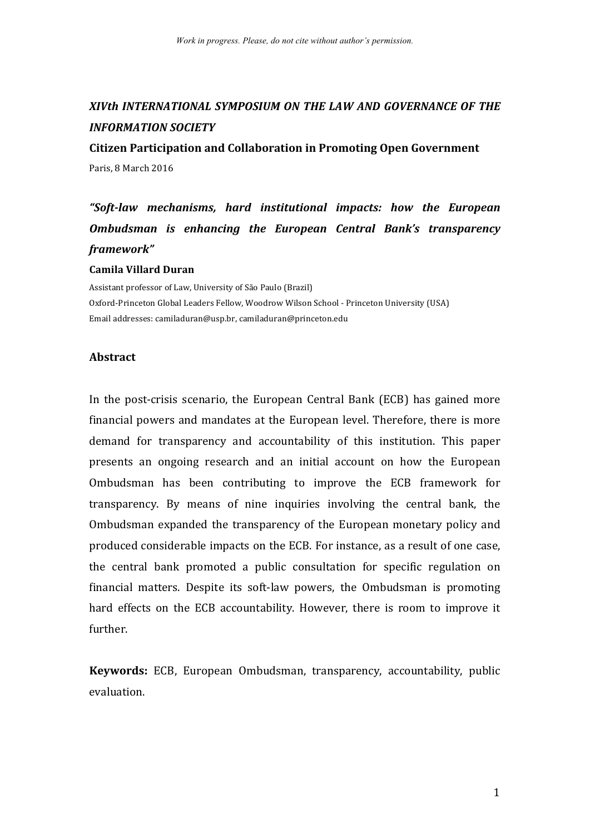### *XIVth INTERNATIONAL SYMPOSIUM ON THE LAW AND GOVERNANCE OF THE INFORMATION SOCIETY*

**Citizen Participation and Collaboration in Promoting Open Government** Paris, 8 March 2016

*"Soft<law mechanisms, hard institutional impacts: how the European Ombudsman is enhancing the European Central Bank's transparency framework"*

### **Camila Villard Duran**

Assistant professor of Law, University of São Paulo (Brazil) Oxford-Princeton Global Leaders Fellow, Woodrow Wilson School - Princeton University (USA) Email addresses: camiladuran@usp.br, camiladuran@princeton.edu

### **Abstract**

In the post-crisis scenario, the European Central Bank (ECB) has gained more financial powers and mandates at the European level. Therefore, there is more demand for transparency and accountability of this institution. This paper presents an ongoing research and an initial account on how the European Ombudsman has been contributing to improve the ECB framework for transparency. By means of nine inquiries involving the central bank, the Ombudsman expanded the transparency of the European monetary policy and produced considerable impacts on the ECB. For instance, as a result of one case, the central bank promoted a public consultation for specific regulation on financial matters. Despite its soft-law powers, the Ombudsman is promoting hard effects on the ECB accountability. However, there is room to improve it further.

**Keywords:** ECB, European Ombudsman, transparency, accountability, public evaluation.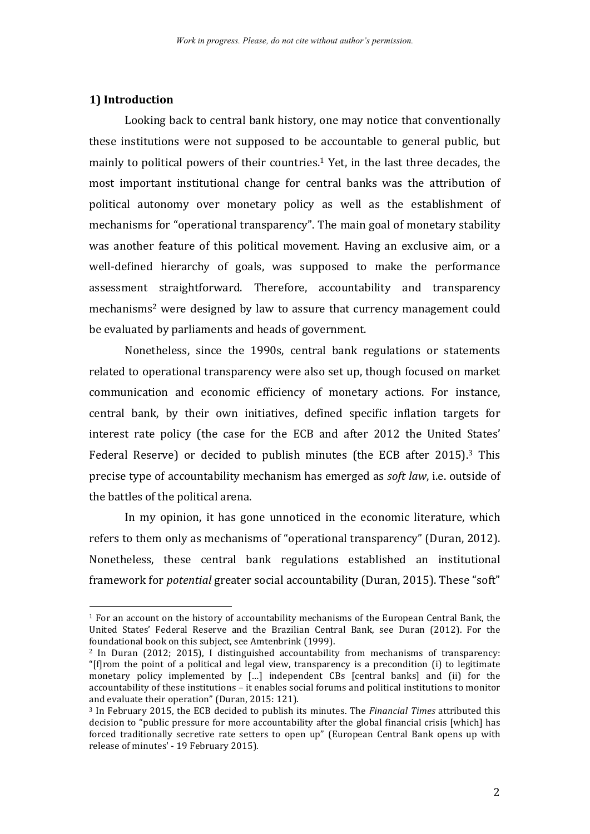### **1) Introduction**

 $\overline{a}$ 

Looking back to central bank history, one may notice that conventionally these institutions were not supposed to be accountable to general public, but mainly to political powers of their countries.<sup>1</sup> Yet, in the last three decades, the most important institutional change for central banks was the attribution of political autonomy over monetary policy as well as the establishment of mechanisms for "operational transparency". The main goal of monetary stability was another feature of this political movement. Having an exclusive aim, or a well-defined hierarchy of goals, was supposed to make the performance assessment straightforward. Therefore, accountability and transparency mechanisms2 were designed by law to assure that currency management could be evaluated by parliaments and heads of government.

Nonetheless, since the 1990s, central bank regulations or statements related to operational transparency were also set up, though focused on market communication and economic efficiency of monetary actions. For instance, central bank, by their own initiatives, defined specific inflation targets for interest rate policy (the case for the ECB and after 2012 the United States' Federal Reserve) or decided to publish minutes (the ECB after 2015).<sup>3</sup> This precise type of accountability mechanism has emerged as *soft law*, i.e. outside of the battles of the political arena.

In my opinion, it has gone unnoticed in the economic literature, which refers to them only as mechanisms of "operational transparency" (Duran, 2012). Nonetheless, these central bank regulations established an institutional framework for *potential* greater social accountability (Duran, 2015). These "soft"

<sup>1</sup> For an account on the history of accountability mechanisms of the European Central Bank, the United States' Federal Reserve and the Brazilian Central Bank, see Duran (2012). For the foundational book on this subject, see Amtenbrink (1999).

<sup>2</sup> In Duran (2012; 2015), I distinguished accountability from mechanisms of transparency: "[f]rom the point of a political and legal view, transparency is a precondition (i) to legitimate monetary policy implemented by […] independent CBs [central banks] and (ii) for the accountability of these institutions – it enables social forums and political institutions to monitor and evaluate their operation" (Duran, 2015: 121).

<sup>3</sup> In February 2015, the ECB decided to publish its minutes. The *Financial Times* attributed this decision to "public pressure for more accountability after the global financial crisis [which] has forced traditionally secretive rate setters to open up" (European Central Bank opens up with release of minutes' - 19 February 2015).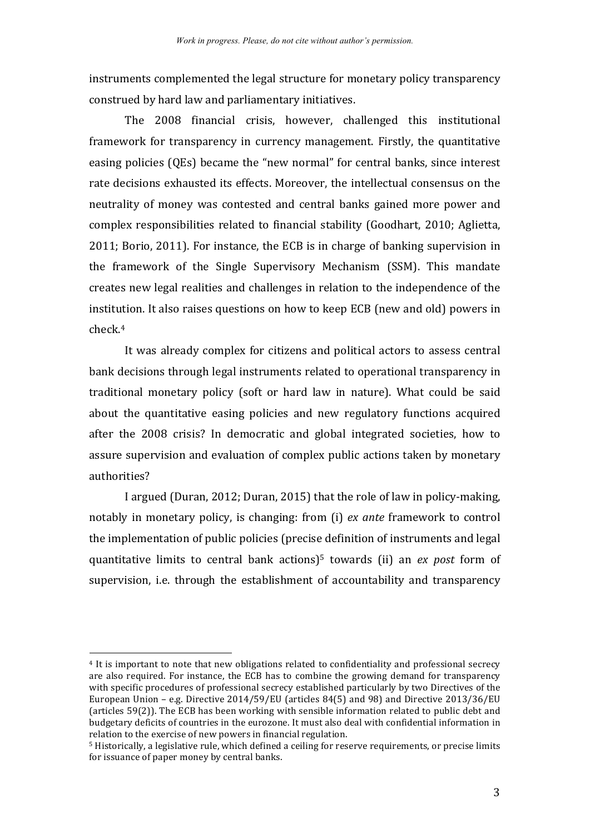instruments complemented the legal structure for monetary policy transparency construed by hard law and parliamentary initiatives.

The 2008 financial crisis, however, challenged this institutional framework for transparency in currency management. Firstly, the quantitative easing policies (QEs) became the "new normal" for central banks, since interest rate decisions exhausted its effects. Moreover, the intellectual consensus on the neutrality of money was contested and central banks gained more power and complex responsibilities related to financial stability (Goodhart, 2010; Aglietta, 2011; Borio, 2011). For instance, the ECB is in charge of banking supervision in the framework of the Single Supervisory Mechanism (SSM). This mandate creates new legal realities and challenges in relation to the independence of the institution. It also raises questions on how to keep ECB (new and old) powers in check.4

It was already complex for citizens and political actors to assess central bank decisions through legal instruments related to operational transparency in traditional monetary policy (soft or hard law in nature). What could be said about the quantitative easing policies and new regulatory functions acquired after the 2008 crisis? In democratic and global integrated societies, how to assure supervision and evaluation of complex public actions taken by monetary authorities?

I argued (Duran, 2012; Duran, 2015) that the role of law in policy-making, notably in monetary policy, is changing: from (i) *ex ante* framework to control the implementation of public policies (precise definition of instruments and legal quantitative limits to central bank actions)5 towards (ii) an *ex post* form of supervision, i.e. through the establishment of accountability and transparency

<sup>4</sup> It is important to note that new obligations related to confidentiality and professional secrecy are also required. For instance, the ECB has to combine the growing demand for transparency with specific procedures of professional secrecy established particularly by two Directives of the European Union – e.g. Directive 2014/59/EU (articles 84(5) and 98) and Directive 2013/36/EU (articles 59(2)). The ECB has been working with sensible information related to public debt and budgetary deficits of countries in the eurozone. It must also deal with confidential information in relation to the exercise of new powers in financial regulation.

<sup>5</sup> Historically, a legislative rule, which defined a ceiling for reserve requirements, or precise limits for issuance of paper money by central banks.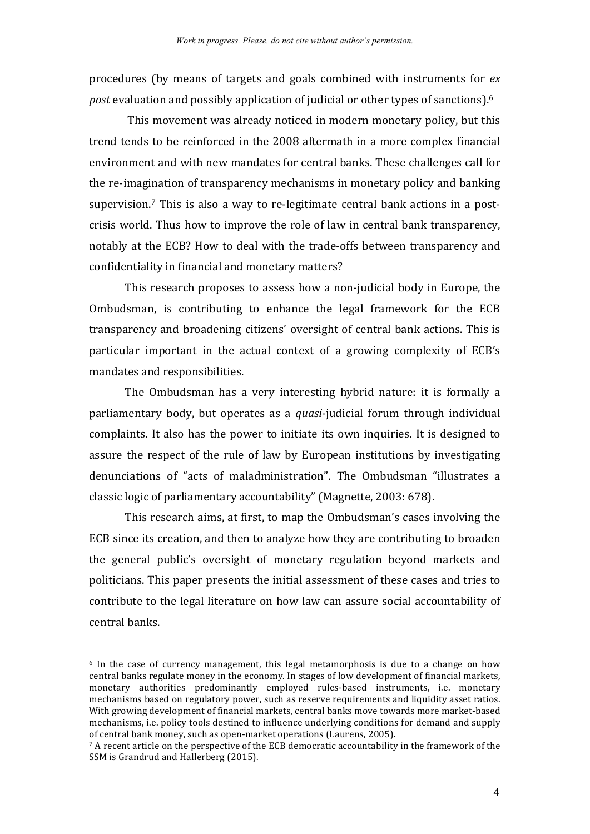procedures (by means of targets and goals combined with instruments for *ex post* evaluation and possibly application of judicial or other types of sanctions).6

This movement was already noticed in modern monetary policy, but this trend tends to be reinforced in the 2008 aftermath in a more complex financial environment and with new mandates for central banks. These challenges call for the re-imagination of transparency mechanisms in monetary policy and banking supervision.<sup>7</sup> This is also a way to re-legitimate central bank actions in a postcrisis world. Thus how to improve the role of law in central bank transparency, notably at the ECB? How to deal with the trade-offs between transparency and confidentiality in financial and monetary matters?

This research proposes to assess how a non-judicial body in Europe, the Ombudsman, is contributing to enhance the legal framework for the ECB transparency and broadening citizens' oversight of central bank actions. This is particular important in the actual context of a growing complexity of ECB's mandates and responsibilities.

The Ombudsman has a very interesting hybrid nature: it is formally a parliamentary body, but operates as a *quasi*-judicial forum through individual complaints. It also has the power to initiate its own inquiries. It is designed to assure the respect of the rule of law by European institutions by investigating denunciations of "acts of maladministration". The Ombudsman "illustrates a classic logic of parliamentary accountability" (Magnette, 2003: 678).

This research aims, at first, to map the Ombudsman's cases involving the ECB since its creation, and then to analyze how they are contributing to broaden the general public's oversight of monetary regulation beyond markets and politicians. This paper presents the initial assessment of these cases and tries to contribute to the legal literature on how law can assure social accountability of central banks.

<sup>6</sup> In the case of currency management, this legal metamorphosis is due to a change on how central banks regulate money in the economy. In stages of low development of financial markets, monetary authorities predominantly employed rules-based instruments, i.e. monetary mechanisms based on regulatory power, such as reserve requirements and liquidity asset ratios. With growing development of financial markets, central banks move towards more market-based mechanisms, i.e. policy tools destined to influence underlying conditions for demand and supply of central bank money, such as open-market operations (Laurens, 2005).

<sup>7</sup> A recent article on the perspective of the ECB democratic accountability in the framework of the SSM is Grandrud and Hallerberg (2015).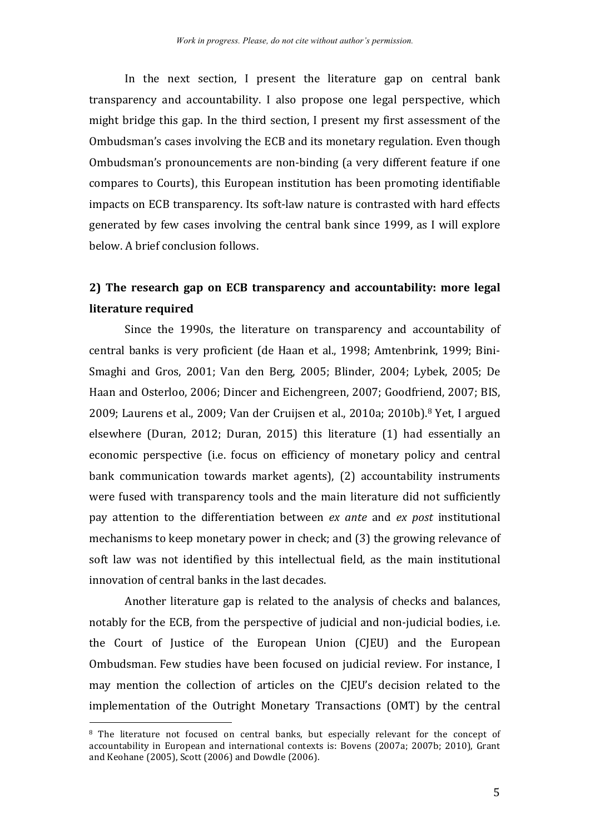In the next section, I present the literature gap on central bank transparency and accountability. I also propose one legal perspective, which might bridge this gap. In the third section, I present my first assessment of the Ombudsman's cases involving the ECB and its monetary regulation. Even though Ombudsman's pronouncements are non-binding (a very different feature if one compares to Courts), this European institution has been promoting identifiable impacts on ECB transparency. Its soft-law nature is contrasted with hard effects generated by few cases involving the central bank since 1999, as I will explore below. A brief conclusion follows.

### **2) The research gap on ECB transparency and accountability: more legal literature required**

Since the 1990s, the literature on transparency and accountability of central banks is very proficient (de Haan et al., 1998; Amtenbrink, 1999; Bini-Smaghi and Gros, 2001; Van den Berg, 2005; Blinder, 2004; Lybek, 2005; De Haan and Osterloo, 2006; Dincer and Eichengreen, 2007; Goodfriend, 2007; BIS, 2009; Laurens et al., 2009; Van der Cruijsen et al., 2010a; 2010b).8 Yet, I argued elsewhere (Duran, 2012; Duran, 2015) this literature (1) had essentially an economic perspective (i.e. focus on efficiency of monetary policy and central bank communication towards market agents), (2) accountability instruments were fused with transparency tools and the main literature did not sufficiently pay attention to the differentiation between *ex ante* and *ex post* institutional mechanisms to keep monetary power in check; and (3) the growing relevance of soft law was not identified by this intellectual field, as the main institutional innovation of central banks in the last decades.

Another literature gap is related to the analysis of checks and balances, notably for the ECB, from the perspective of judicial and non-judicial bodies, i.e. the Court of Justice of the European Union (CJEU) and the European Ombudsman. Few studies have been focused on judicial review. For instance, I may mention the collection of articles on the CJEU's decision related to the implementation of the Outright Monetary Transactions (OMT) by the central

<sup>8</sup> The literature not focused on central banks, but especially relevant for the concept of accountability in European and international contexts is: Bovens (2007a; 2007b; 2010), Grant and Keohane (2005), Scott (2006) and Dowdle (2006).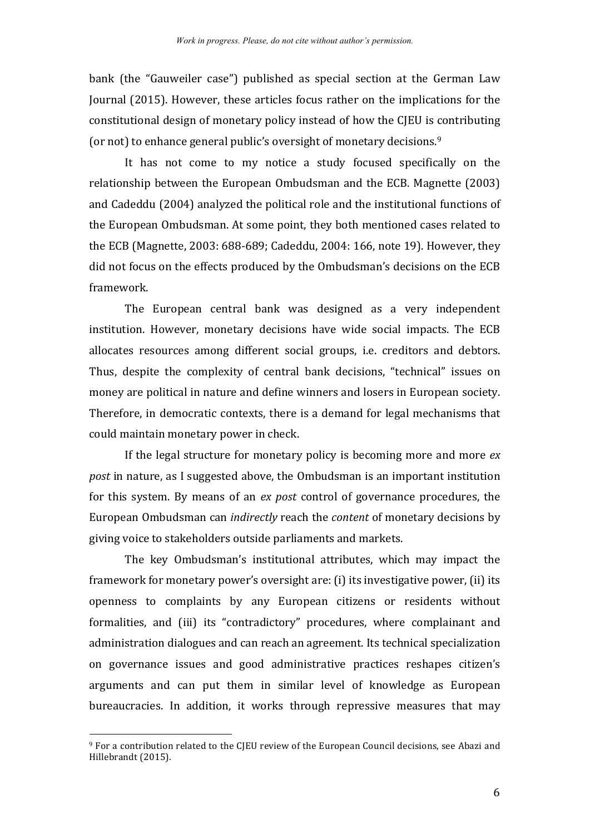bank (the "Gauweiler case") published as special section at the German Law Journal (2015). However, these articles focus rather on the implications for the constitutional design of monetary policy instead of how the CJEU is contributing (or not) to enhance general public's oversight of monetary decisions. 9

It has not come to my notice a study focused specifically on the relationship between the European Ombudsman and the ECB. Magnette (2003) and Cadeddu (2004) analyzed the political role and the institutional functions of the European Ombudsman. At some point, they both mentioned cases related to the ECB (Magnette, 2003: 688-689; Cadeddu, 2004: 166, note 19). However, they did not focus on the effects produced by the Ombudsman's decisions on the ECB framework.

The European central bank was designed as a very independent institution. However, monetary decisions have wide social impacts. The ECB allocates resources among different social groups, i.e. creditors and debtors. Thus, despite the complexity of central bank decisions, "technical" issues on money are political in nature and define winners and losers in European society. Therefore, in democratic contexts, there is a demand for legal mechanisms that could maintain monetary power in check.

If the legal structure for monetary policy is becoming more and more *ex post* in nature, as I suggested above, the Ombudsman is an important institution for this system. By means of an *ex post* control of governance procedures, the European Ombudsman can *indirectly* reach the *content* of monetary decisions by giving voice to stakeholders outside parliaments and markets.

The key Ombudsman's institutional attributes, which may impact the framework for monetary power's oversight are: (i) its investigative power, (ii) its openness to complaints by any European citizens or residents without formalities, and (iii) its "contradictory" procedures, where complainant and administration dialogues and can reach an agreement. Its technical specialization on governance issues and good administrative practices reshapes citizen's arguments and can put them in similar level of knowledge as European bureaucracies. In addition, it works through repressive measures that may

<sup>9</sup> For a contribution related to the CJEU review of the European Council decisions, see Abazi and Hillebrandt (2015).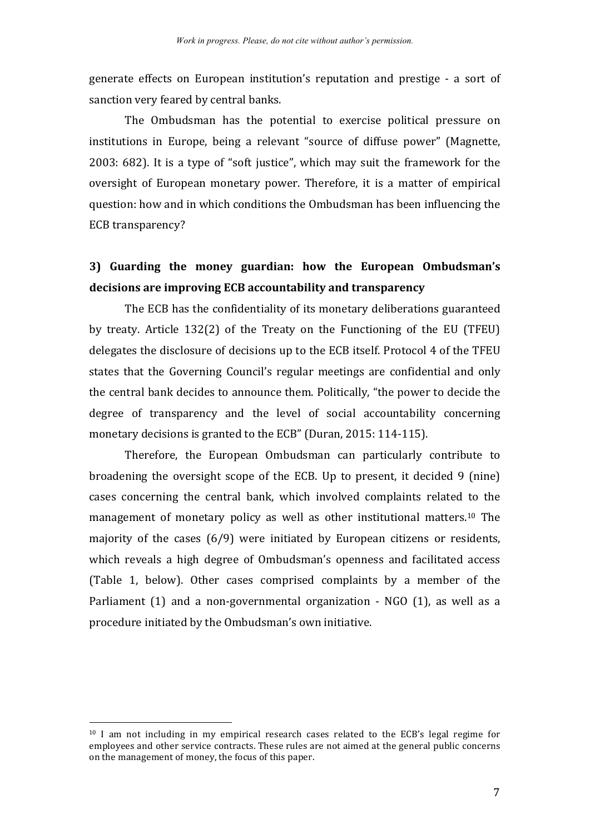generate effects on European institution's reputation and prestige - a sort of sanction very feared by central banks.

The Ombudsman has the potential to exercise political pressure on institutions in Europe, being a relevant "source of diffuse power" (Magnette, 2003: 682). It is a type of "soft justice", which may suit the framework for the oversight of European monetary power. Therefore, it is a matter of empirical question: how and in which conditions the Ombudsman has been influencing the ECB transparency?

# **3) Guarding the money guardian: how the European Ombudsman's decisions are improving ECB accountability and transparency**

The ECB has the confidentiality of its monetary deliberations guaranteed by treaty. Article 132(2) of the Treaty on the Functioning of the EU (TFEU) delegates the disclosure of decisions up to the ECB itself. Protocol 4 of the TFEU states that the Governing Council's regular meetings are confidential and only the central bank decides to announce them. Politically, "the power to decide the degree of transparency and the level of social accountability concerning monetary decisions is granted to the ECB" (Duran, 2015: 114-115).

Therefore, the European Ombudsman can particularly contribute to broadening the oversight scope of the ECB. Up to present, it decided 9 (nine) cases concerning the central bank, which involved complaints related to the management of monetary policy as well as other institutional matters.10 The majority of the cases (6/9) were initiated by European citizens or residents, which reveals a high degree of Ombudsman's openness and facilitated access (Table 1, below). Other cases comprised complaints by a member of the Parliament  $(1)$  and a non-governmental organization - NGO  $(1)$ , as well as a procedure initiated by the Ombudsman's own initiative.

<sup>10</sup> I am not including in my empirical research cases related to the ECB's legal regime for employees and other service contracts. These rules are not aimed at the general public concerns on the management of money, the focus of this paper.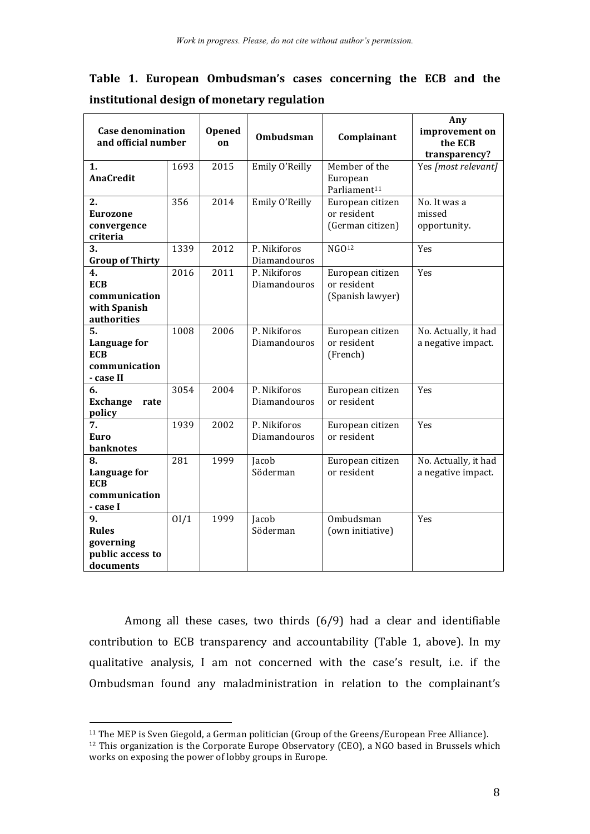# **Table 1. European Ombudsman's cases concerning the ECB and the institutional design of monetary regulation**

| <b>Case denomination</b><br>and official number |                   | <b>Opened</b><br>on | <b>Ombudsman</b> | Complainant                          | Any<br>improvement on<br>the ECB |
|-------------------------------------------------|-------------------|---------------------|------------------|--------------------------------------|----------------------------------|
|                                                 |                   |                     |                  |                                      | transparency?                    |
| 1.                                              | 1693              | 2015                | Emily O'Reilly   | Member of the                        | Yes [most relevant]              |
| <b>AnaCredit</b>                                |                   |                     |                  | European<br>Parliament <sup>11</sup> |                                  |
| 2.                                              | 356               | 2014                | Emily O'Reilly   | European citizen                     | No. It was a                     |
| <b>Eurozone</b>                                 |                   |                     |                  | or resident                          | missed                           |
| convergence<br>criteria                         |                   |                     |                  | (German citizen)                     | opportunity.                     |
| 3.                                              | 1339              | 2012                | P. Nikiforos     | ${\rm NGO^{12}}$                     | Yes                              |
| <b>Group of Thirty</b>                          |                   |                     | Diamandouros     |                                      |                                  |
| 4.                                              | 2016              | 2011                | P. Nikiforos     | European citizen                     | Yes                              |
| <b>ECB</b>                                      |                   |                     | Diamandouros     | or resident                          |                                  |
| communication                                   |                   |                     |                  | (Spanish lawyer)                     |                                  |
| with Spanish                                    |                   |                     |                  |                                      |                                  |
| authorities<br>5.                               | 1008              | 2006                | P. Nikiforos     | European citizen                     | No. Actually, it had             |
| Language for                                    |                   |                     | Diamandouros     | or resident                          | a negative impact.               |
| <b>ECB</b>                                      |                   |                     |                  | (French)                             |                                  |
| communication                                   |                   |                     |                  |                                      |                                  |
| - case II                                       |                   |                     |                  |                                      |                                  |
| 6.                                              | 3054              | 2004                | P. Nikiforos     | European citizen                     | Yes                              |
| <b>Exchange</b><br>rate                         |                   |                     | Diamandouros     | or resident                          |                                  |
| policy                                          | 1939              | 2002                | P. Nikiforos     |                                      | Yes                              |
| 7.<br>Euro                                      |                   |                     | Diamandouros     | European citizen<br>or resident      |                                  |
| banknotes                                       |                   |                     |                  |                                      |                                  |
| 8.                                              | 281               | 1999                | Jacob            | European citizen                     | No. Actually, it had             |
| Language for                                    |                   |                     | Söderman         | or resident                          | a negative impact.               |
| <b>ECB</b>                                      |                   |                     |                  |                                      |                                  |
| communication                                   |                   |                     |                  |                                      |                                  |
| - case I                                        |                   |                     |                  |                                      |                                  |
| 9.<br><b>Rules</b>                              | O <sub>I</sub> /1 | 1999                | Jacob            | Ombudsman                            | Yes                              |
| governing                                       |                   |                     | Söderman         | (own initiative)                     |                                  |
| public access to                                |                   |                     |                  |                                      |                                  |
| documents                                       |                   |                     |                  |                                      |                                  |

Among all these cases, two thirds (6/9) had a clear and identifiable contribution to ECB transparency and accountability (Table 1, above). In my qualitative analysis, I am not concerned with the case's result, i.e. if the Ombudsman found any maladministration in relation to the complainant's

<sup>&</sup>lt;sup>11</sup> The MEP is Sven Giegold, a German politician (Group of the Greens/European Free Alliance).

<sup>&</sup>lt;sup>12</sup> This organization is the Corporate Europe Observatory (CEO), a NGO based in Brussels which works on exposing the power of lobby groups in Europe.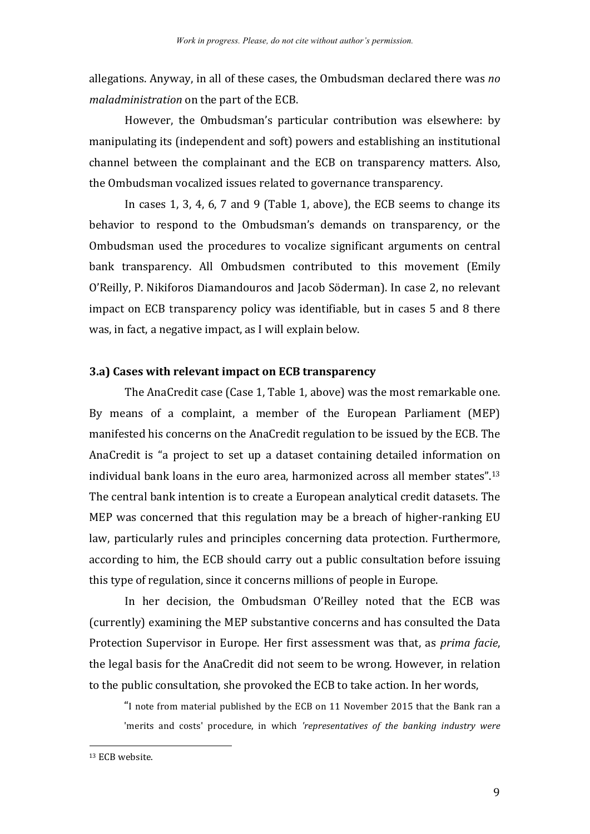allegations. Anyway, in all of these cases, the Ombudsman declared there was *no maladministration* on the part of the ECB.

However, the Ombudsman's particular contribution was elsewhere: by manipulating its (independent and soft) powers and establishing an institutional channel between the complainant and the ECB on transparency matters. Also, the Ombudsman vocalized issues related to governance transparency.

In cases 1, 3, 4, 6, 7 and 9 (Table 1, above), the ECB seems to change its behavior to respond to the Ombudsman's demands on transparency, or the Ombudsman used the procedures to vocalize significant arguments on central bank transparency. All Ombudsmen contributed to this movement (Emily O'Reilly, P. Nikiforos Diamandouros and Jacob Söderman). In case 2, no relevant impact on ECB transparency policy was identifiable, but in cases 5 and 8 there was, in fact, a negative impact, as I will explain below.

### **3.a) Cases with relevant impact on ECB transparency**

The AnaCredit case (Case 1, Table 1, above) was the most remarkable one. By means of a complaint, a member of the European Parliament (MEP) manifested his concerns on the AnaCredit regulation to be issued by the ECB. The AnaCredit is "a project to set up a dataset containing detailed information on individual bank loans in the euro area, harmonized across all member states".13 The central bank intention is to create a European analytical credit datasets. The MEP was concerned that this regulation may be a breach of higher-ranking EU law, particularly rules and principles concerning data protection. Furthermore, according to him, the ECB should carry out a public consultation before issuing this type of regulation, since it concerns millions of people in Europe.

In her decision, the Ombudsman O'Reilley noted that the ECB was (currently) examining the MEP substantive concerns and has consulted the Data Protection Supervisor in Europe. Her first assessment was that, as *prima facie*, the legal basis for the AnaCredit did not seem to be wrong. However, in relation to the public consultation, she provoked the ECB to take action. In her words,

"I note from material published by the ECB on 11 November 2015 that the Bank ran a 'merits and costs' procedure, in which *'representatives of the banking industry were*

<sup>13</sup> ECB website.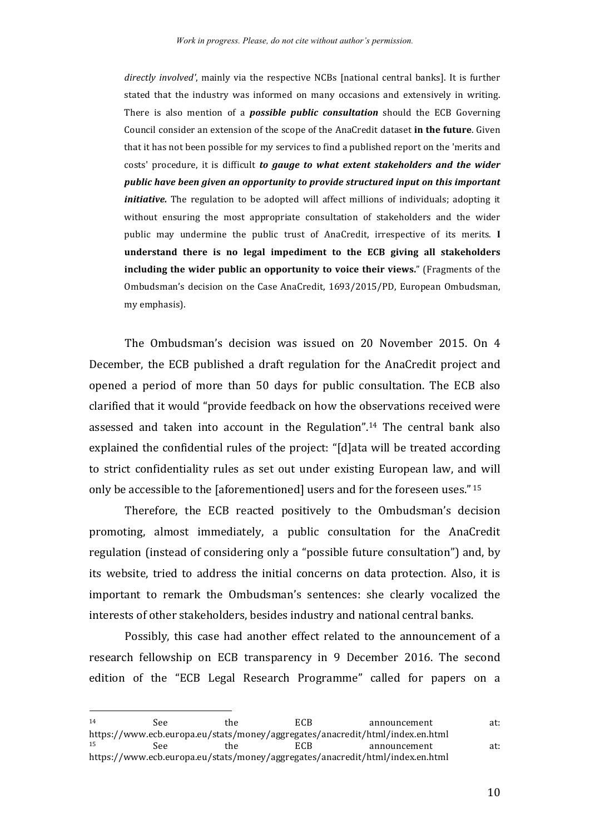*directly involved'*, mainly via the respective NCBs [national central banks]. It is further stated that the industry was informed on many occasions and extensively in writing. There is also mention of a *possible public consultation* should the ECB Governing Council consider an extension of the scope of the AnaCredit dataset **in the future**. Given that it has not been possible for my services to find a published report on the 'merits and costs' procedure, it is difficult *to gauge to what extent stakeholders and the wider public have been given an opportunity to provide structured input on this important initiative.* The regulation to be adopted will affect millions of individuals; adopting it without ensuring the most appropriate consultation of stakeholders and the wider public may undermine the public trust of AnaCredit, irrespective of its merits. **I understand there is no legal impediment to the ECB giving all stakeholders including the wider public an opportunity to voice their views.**" (Fragments of the Ombudsman's decision on the Case AnaCredit, 1693/2015/PD, European Ombudsman, my emphasis).

The Ombudsman's decision was issued on 20 November 2015. On 4 December, the ECB published a draft regulation for the AnaCredit project and opened a period of more than 50 days for public consultation. The ECB also clarified that it would "provide feedback on how the observations received were assessed and taken into account in the Regulation".14 The central bank also explained the confidential rules of the project: "[d]ata will be treated according to strict confidentiality rules as set out under existing European law, and will only be accessible to the [aforementioned] users and for the foreseen uses." <sup>15</sup>

Therefore, the ECB reacted positively to the Ombudsman's decision promoting, almost immediately, a public consultation for the AnaCredit regulation (instead of considering only a "possible future consultation") and, by its website, tried to address the initial concerns on data protection. Also, it is important to remark the Ombudsman's sentences: she clearly vocalized the interests of other stakeholders, besides industry and national central banks.

Possibly, this case had another effect related to the announcement of a research fellowship on ECB transparency in 9 December 2016. The second edition of the "ECB Legal Research Programme" called for papers on a

 $\overline{a}$ <sup>14</sup> See the ECB announcement at: https://www.ecb.europa.eu/stats/money/aggregates/anacredit/html/index.en.html See the ECB announcement at: https://www.ecb.europa.eu/stats/money/aggregates/anacredit/html/index.en.html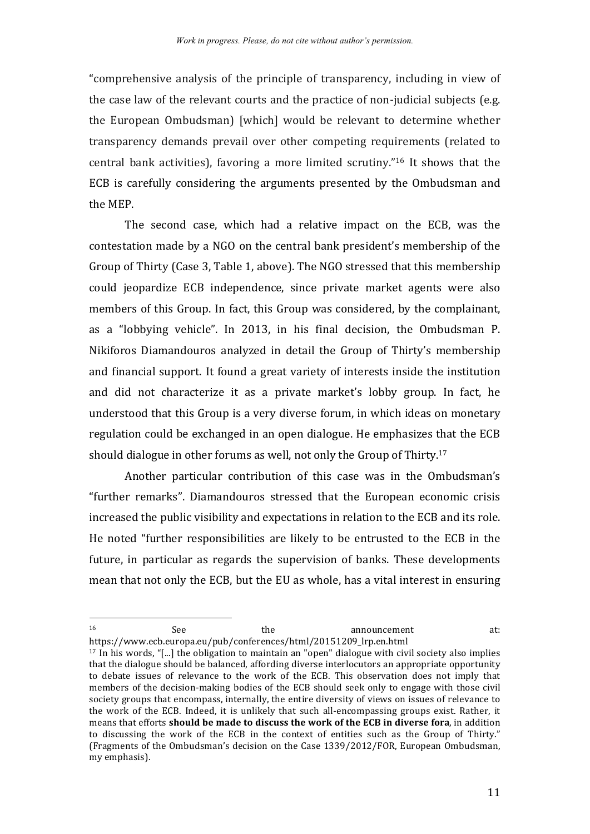"comprehensive analysis of the principle of transparency, including in view of the case law of the relevant courts and the practice of non-judicial subjects (e.g. the European Ombudsman) [which] would be relevant to determine whether transparency demands prevail over other competing requirements (related to central bank activities), favoring a more limited scrutiny."<sup>16</sup> It shows that the ECB is carefully considering the arguments presented by the Ombudsman and the MEP.

The second case, which had a relative impact on the ECB, was the contestation made by a NGO on the central bank president's membership of the Group of Thirty (Case 3, Table 1, above). The NGO stressed that this membership could jeopardize ECB independence, since private market agents were also members of this Group. In fact, this Group was considered, by the complainant, as a "lobbying vehicle". In 2013, in his final decision, the Ombudsman P. Nikiforos Diamandouros analyzed in detail the Group of Thirty's membership and financial support. It found a great variety of interests inside the institution and did not characterize it as a private market's lobby group. In fact, he understood that this Group is a very diverse forum, in which ideas on monetary regulation could be exchanged in an open dialogue. He emphasizes that the ECB should dialogue in other forums as well, not only the Group of Thirty.17

Another particular contribution of this case was in the Ombudsman's "further remarks". Diamandouros stressed that the European economic crisis increased the public visibility and expectations in relation to the ECB and its role. He noted "further responsibilities are likely to be entrusted to the ECB in the future, in particular as regards the supervision of banks. These developments mean that not only the ECB, but the EU as whole, has a vital interest in ensuring

 $\overline{a}$ 

11

<sup>16</sup> See the announcement at: https://www.ecb.europa.eu/pub/conferences/html/20151209\_lrp.en.html

<sup>17</sup> In his words, "[...] the obligation to maintain an "open" dialogue with civil society also implies that the dialogue should be balanced, affording diverse interlocutors an appropriate opportunity to debate issues of relevance to the work of the ECB. This observation does not imply that members of the decision-making bodies of the ECB should seek only to engage with those civil society groups that encompass, internally, the entire diversity of views on issues of relevance to the work of the ECB. Indeed, it is unlikely that such all-encompassing groups exist. Rather, it means that efforts **should be made to discuss the work of the ECB in diverse fora**, in addition to discussing the work of the ECB in the context of entities such as the Group of Thirty." (Fragments of the Ombudsman's decision on the Case 1339/2012/FOR, European Ombudsman, my emphasis).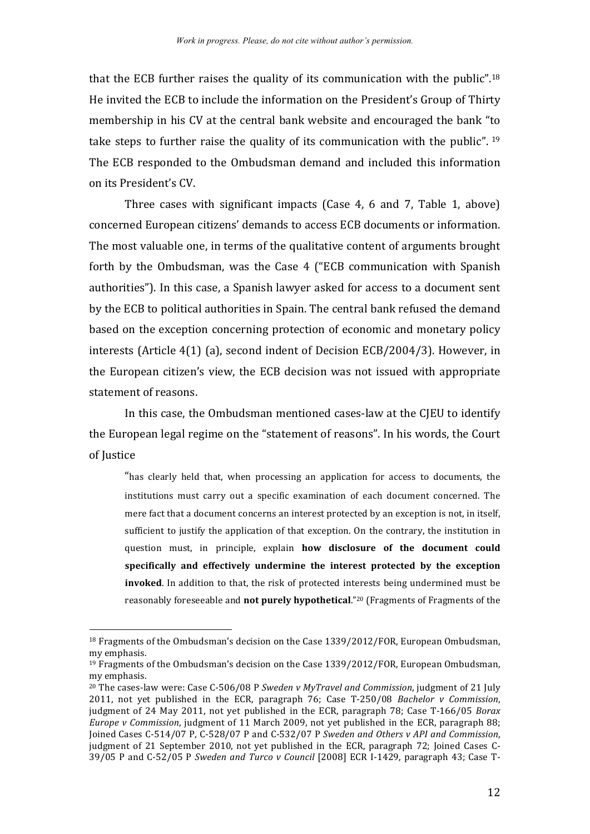that the ECB further raises the quality of its communication with the public".18 He invited the ECB to include the information on the President's Group of Thirty membership in his CV at the central bank website and encouraged the bank "to take steps to further raise the quality of its communication with the public". <sup>19</sup> The ECB responded to the Ombudsman demand and included this information on its President's CV.

Three cases with significant impacts (Case 4, 6 and 7, Table 1, above) concerned European citizens' demands to access ECB documents or information. The most valuable one, in terms of the qualitative content of arguments brought forth by the Ombudsman, was the Case 4 ("ECB communication with Spanish authorities"). In this case, a Spanish lawyer asked for access to a document sent by the ECB to political authorities in Spain. The central bank refused the demand based on the exception concerning protection of economic and monetary policy interests (Article 4(1) (a), second indent of Decision ECB/2004/3). However, in the European citizen's view, the ECB decision was not issued with appropriate statement of reasons.

In this case, the Ombudsman mentioned cases-law at the CJEU to identify the European legal regime on the "statement of reasons". In his words, the Court of Justice

"has clearly held that, when processing an application for access to documents, the institutions must carry out a specific examination of each document concerned. The mere fact that a document concerns an interest protected by an exception is not, in itself, sufficient to justify the application of that exception. On the contrary, the institution in question must, in principle, explain **how disclosure of the document could specifically and effectively undermine the interest protected by the exception invoked**. In addition to that, the risk of protected interests being undermined must be reasonably foreseeable and **not purely hypothetical**."20 (Fragments of Fragments of the

<sup>&</sup>lt;sup>18</sup> Fragments of the Ombudsman's decision on the Case 1339/2012/FOR, European Ombudsman, my emphasis.

<sup>19</sup> Fragments of the Ombudsman's decision on the Case 1339/2012/FOR, European Ombudsman, my emphasis.

<sup>&</sup>lt;sup>20</sup> The cases-law were: Case C-506/08 P *Sweden v MyTravel and Commission*, judgment of 21 July 2011, not yet published in the ECR, paragraph 76; Case T-250/08 *Bachelor v Commission*, judgment of 24 May 2011, not yet published in the ECR, paragraph 78; Case T-166/05 *Borax Europe v Commission*, judgment of 11 March 2009, not yet published in the ECR, paragraph 88; Joined Cases C-514/07 P, C-528/07 P and C-532/07 P *Sweden and Others v API and Commission*, judgment of 21 September 2010, not yet published in the ECR, paragraph 72; Joined Cases C-39/05 P and C-52/05 P *Sweden and Turco v Council* [2008] ECR I-1429, paragraph 43; Case T-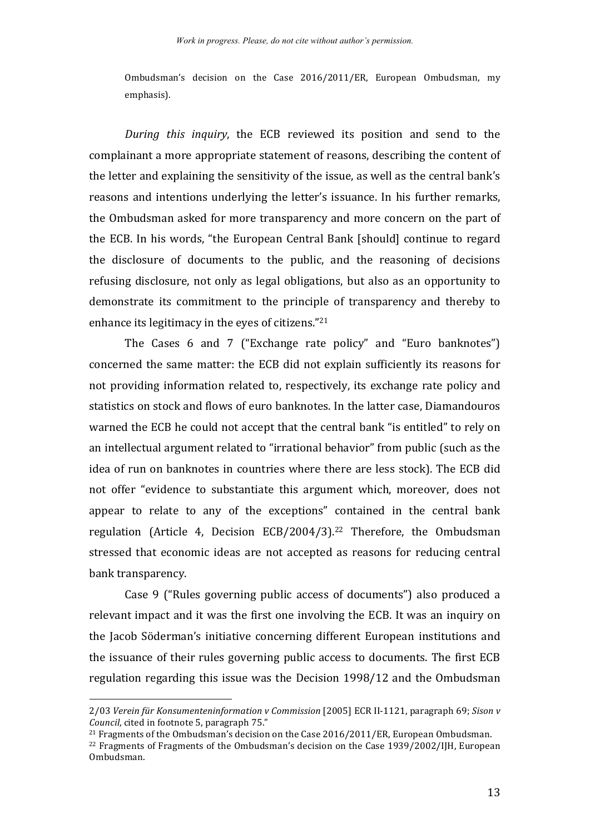Ombudsman's decision on the Case 2016/2011/ER, European Ombudsman, my emphasis).

*During this inquiry*, the ECB reviewed its position and send to the complainant a more appropriate statement of reasons, describing the content of the letter and explaining the sensitivity of the issue, as well as the central bank's reasons and intentions underlying the letter's issuance. In his further remarks, the Ombudsman asked for more transparency and more concern on the part of the ECB. In his words, "the European Central Bank [should] continue to regard the disclosure of documents to the public, and the reasoning of decisions refusing disclosure, not only as legal obligations, but also as an opportunity to demonstrate its commitment to the principle of transparency and thereby to enhance its legitimacy in the eyes of citizens."21

The Cases 6 and 7 ("Exchange rate policy" and "Euro banknotes") concerned the same matter: the ECB did not explain sufficiently its reasons for not providing information related to, respectively, its exchange rate policy and statistics on stock and flows of euro banknotes. In the latter case, Diamandouros warned the ECB he could not accept that the central bank "is entitled" to rely on an intellectual argument related to "irrational behavior" from public (such as the idea of run on banknotes in countries where there are less stock). The ECB did not offer "evidence to substantiate this argument which, moreover, does not appear to relate to any of the exceptions" contained in the central bank regulation (Article 4, Decision ECB/2004/3).22 Therefore, the Ombudsman stressed that economic ideas are not accepted as reasons for reducing central bank transparency.

Case 9 ("Rules governing public access of documents") also produced a relevant impact and it was the first one involving the ECB. It was an inquiry on the Jacob Söderman's initiative concerning different European institutions and the issuance of their rules governing public access to documents. The first ECB regulation regarding this issue was the Decision 1998/12 and the Ombudsman

<sup>2/03</sup> *Verein für Konsumenteninformation v Commission* [2005] ECR II-1121, paragraph 69; *Sison v Council*, cited in footnote 5, paragraph 75."

<sup>21</sup> Fragments of the Ombudsman's decision on the Case 2016/2011/ER, European Ombudsman.

<sup>22</sup> Fragments of Fragments of the Ombudsman's decision on the Case 1939/2002/IJH, European Ombudsman.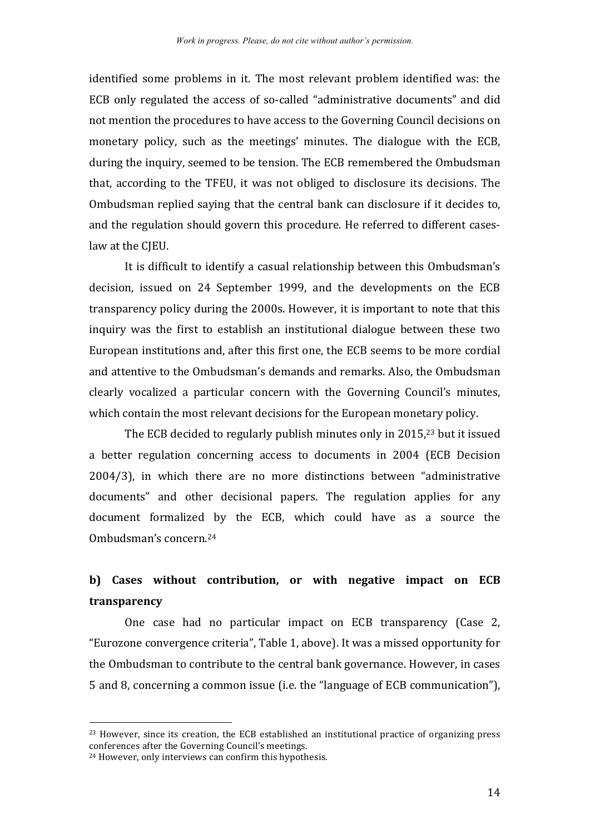identified some problems in it. The most relevant problem identified was: the ECB only regulated the access of so-called "administrative documents" and did not mention the procedures to have access to the Governing Council decisions on monetary policy, such as the meetings' minutes. The dialogue with the ECB, during the inquiry, seemed to be tension. The ECB remembered the Ombudsman that, according to the TFEU, it was not obliged to disclosure its decisions. The Ombudsman replied saying that the central bank can disclosure if it decides to, and the regulation should govern this procedure. He referred to different caseslaw at the CIEU.

It is difficult to identify a casual relationship between this Ombudsman's decision, issued on 24 September 1999, and the developments on the ECB transparency policy during the 2000s. However, it is important to note that this inquiry was the first to establish an institutional dialogue between these two European institutions and, after this first one, the ECB seems to be more cordial and attentive to the Ombudsman's demands and remarks. Also, the Ombudsman clearly vocalized a particular concern with the Governing Council's minutes, which contain the most relevant decisions for the European monetary policy.

The ECB decided to regularly publish minutes only in 2015,23 but it issued a better regulation concerning access to documents in 2004 (ECB Decision 2004/3), in which there are no more distinctions between "administrative documents" and other decisional papers. The regulation applies for any document formalized by the ECB, which could have as a source the Ombudsman's concern.24

## **b) Cases without contribution, or with negative impact on ECB transparency**

One case had no particular impact on ECB transparency (Case 2, "Eurozone convergence criteria", Table 1, above). It was a missed opportunity for the Ombudsman to contribute to the central bank governance. However, in cases 5 and 8, concerning a common issue (i.e. the "language of ECB communication"),

<sup>&</sup>lt;sup>23</sup> However, since its creation, the ECB established an institutional practice of organizing press conferences after the Governing Council's meetings.

<sup>24</sup> However, only interviews can confirm this hypothesis.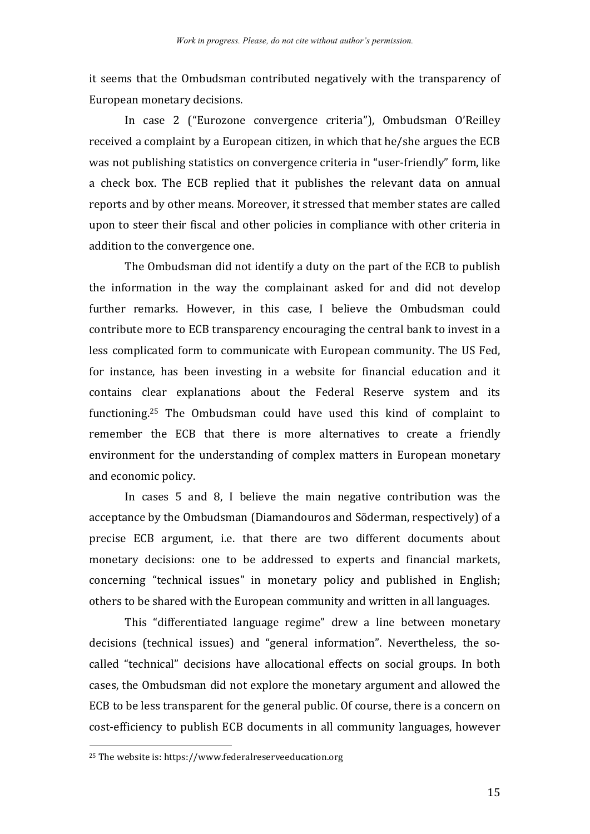it seems that the Ombudsman contributed negatively with the transparency of European monetary decisions.

In case 2 ("Eurozone convergence criteria"), Ombudsman O'Reilley received a complaint by a European citizen, in which that he/she argues the ECB was not publishing statistics on convergence criteria in "user-friendly" form, like a check box. The ECB replied that it publishes the relevant data on annual reports and by other means. Moreover, it stressed that member states are called upon to steer their fiscal and other policies in compliance with other criteria in addition to the convergence one.

The Ombudsman did not identify a duty on the part of the ECB to publish the information in the way the complainant asked for and did not develop further remarks. However, in this case, I believe the Ombudsman could contribute more to ECB transparency encouraging the central bank to invest in a less complicated form to communicate with European community. The US Fed, for instance, has been investing in a website for financial education and it contains clear explanations about the Federal Reserve system and its functioning. <sup>25</sup> The Ombudsman could have used this kind of complaint to remember the ECB that there is more alternatives to create a friendly environment for the understanding of complex matters in European monetary and economic policy.

In cases 5 and 8, I believe the main negative contribution was the acceptance by the Ombudsman (Diamandouros and Söderman, respectively) of a precise ECB argument, i.e. that there are two different documents about monetary decisions: one to be addressed to experts and financial markets, concerning "technical issues" in monetary policy and published in English; others to be shared with the European community and written in all languages.

This "differentiated language regime" drew a line between monetary decisions (technical issues) and "general information". Nevertheless, the socalled "technical" decisions have allocational effects on social groups. In both cases, the Ombudsman did not explore the monetary argument and allowed the ECB to be less transparent for the general public. Of course, there is a concern on cost-efficiency to publish ECB documents in all community languages, however

<sup>25</sup> The website is: https://www.federalreserveeducation.org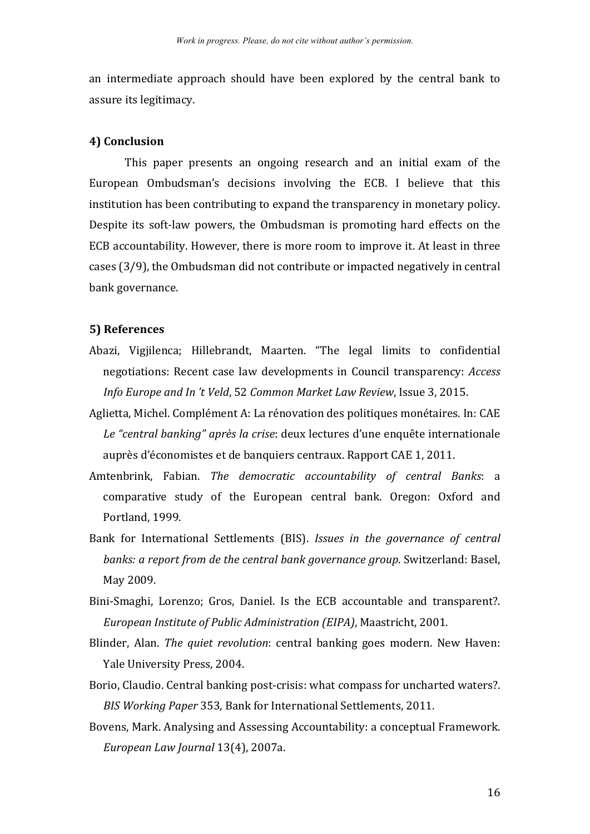an intermediate approach should have been explored by the central bank to assure its legitimacy.

### **4) Conclusion**

This paper presents an ongoing research and an initial exam of the European Ombudsman's decisions involving the ECB. I believe that this institution has been contributing to expand the transparency in monetary policy. Despite its soft-law powers, the Ombudsman is promoting hard effects on the ECB accountability. However, there is more room to improve it. At least in three cases (3/9), the Ombudsman did not contribute or impacted negatively in central bank governance.

### **5) References**

- Abazi, Vigjilenca; Hillebrandt, Maarten. "The legal limits to confidential negotiations: Recent case law developments in Council transparency: *Access Info Europe and In 't Veld*, 52 *Common Market Law Review*, Issue 3, 2015.
- Aglietta, Michel. Complément A: La rénovation des politiques monétaires. In: CAE *Le "central banking" après la crise*: deux lectures d'une enquête internationale auprès d'économistes et de banquiers centraux. Rapport CAE 1, 2011.
- Amtenbrink, Fabian. *The democratic accountability of central Banks*: a comparative study of the European central bank. Oregon: Oxford and Portland, 1999.
- Bank for International Settlements (BIS). *Issues in the governance of central banks: a report from de the central bank governance group*. Switzerland: Basel, May 2009.
- Bini-Smaghi, Lorenzo; Gros, Daniel. Is the ECB accountable and transparent?. *European Institute of Public Administration (EIPA)*, Maastricht, 2001.
- Blinder, Alan. *The quiet revolution*: central banking goes modern. New Haven: Yale University Press, 2004.
- Borio, Claudio. Central banking post-crisis: what compass for uncharted waters?. *BIS Working Paper* 353, Bank for International Settlements, 2011.
- Bovens, Mark. Analysing and Assessing Accountability: a conceptual Framework. *European Law Journal* 13(4), 2007a.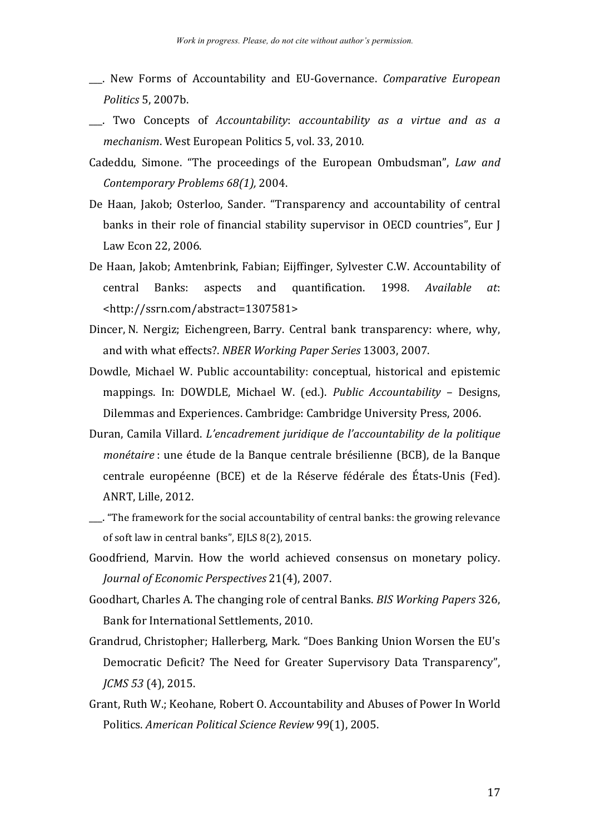- \_\_\_. New Forms of Accountability and EUGGovernance. *Comparative European Politics* 5, 2007b.
- \_\_\_. Two Concepts of *Accountability*: *accountability as a virtue and as a mechanism*. West European Politics 5, vol. 33, 2010.
- Cadeddu, Simone. "The proceedings of the European Ombudsman", *Law and Contemporary Problems 68(1),* 2004.
- De Haan, Jakob; Osterloo, Sander. "Transparency and accountability of central banks in their role of financial stability supervisor in OECD countries", Eur J Law Econ 22, 2006.
- De Haan, Jakob; Amtenbrink, Fabian; Eijffinger, Sylvester C.W. Accountability of central Banks: aspects and quantification. 1998. *Available at*: <http://ssrn.com/abstract=1307581>
- Dincer, N. Nergiz; Eichengreen, Barry. Central bank transparency: where, why, and with what effects?. *NBER Working Paper Series* 13003, 2007.
- Dowdle, Michael W. Public accountability: conceptual, historical and epistemic mappings. In: DOWDLE, Michael W. (ed.). *Public Accountability* – Designs, Dilemmas and Experiences. Cambridge: Cambridge University Press, 2006.
- Duran, Camila Villard. *L'encadrement juridique de l'accountability de la politique monétaire* : une étude de la Banque centrale brésilienne (BCB), de la Banque centrale européenne (BCE) et de la Réserve fédérale des États-Unis (Fed). ANRT, Lille, 2012.
- \_\_\_. "The framework for the social accountability of central banks: the growing relevance of soft law in central banks", EJLS 8(2), 2015.
- Goodfriend, Marvin. How the world achieved consensus on monetary policy. *Journal of Economic Perspectives* 21(4), 2007.
- Goodhart, Charles A. The changing role of central Banks. *BIS Working Papers* 326, Bank for International Settlements, 2010.
- Grandrud, Christopher; Hallerberg, Mark. "Does Banking Union Worsen the EU's Democratic Deficit? The Need for Greater Supervisory Data Transparency", *JCMS 53* (4), 2015.
- Grant, Ruth W.; Keohane, Robert O. Accountability and Abuses of Power In World Politics. *American Political Science Review* 99(1), 2005.